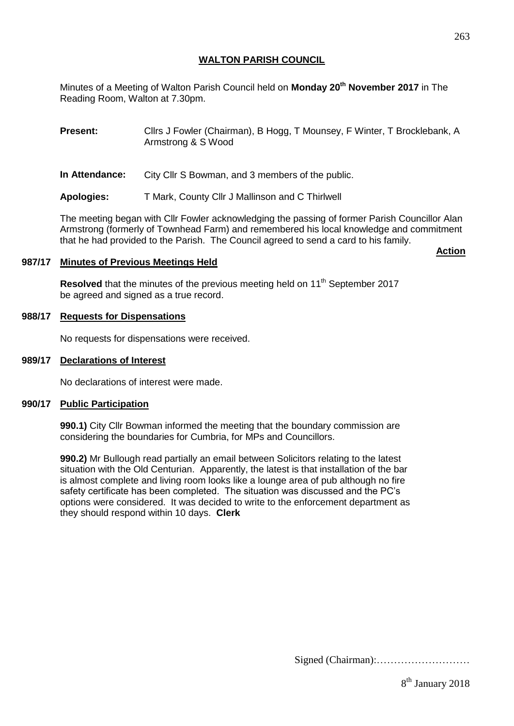## **WALTON PARISH COUNCIL**

Minutes of a Meeting of Walton Parish Council held on **Monday 20th November 2017** in The Reading Room, Walton at 7.30pm.

**Present:** Cllrs J Fowler (Chairman), B Hogg, T Mounsey, F Winter, T Brocklebank, A Armstrong & S Wood

**In Attendance:** City Cllr S Bowman, and 3 members of the public.

**Apologies:** T Mark, County Cllr J Mallinson and C Thirlwell

The meeting began with Cllr Fowler acknowledging the passing of former Parish Councillor Alan Armstrong (formerly of Townhead Farm) and remembered his local knowledge and commitment that he had provided to the Parish. The Council agreed to send a card to his family.

#### **987/17 Minutes of Previous Meetings Held**

Resolved that the minutes of the previous meeting held on 11<sup>th</sup> September 2017 be agreed and signed as a true record.

## **988/17 Requests for Dispensations**

No requests for dispensations were received.

#### **989/17 Declarations of Interest**

No declarations of interest were made.

#### **990/17 Public Participation**

**990.1)** City Cllr Bowman informed the meeting that the boundary commission are considering the boundaries for Cumbria, for MPs and Councillors.

**990.2)** Mr Bullough read partially an email between Solicitors relating to the latest situation with the Old Centurian. Apparently, the latest is that installation of the bar is almost complete and living room looks like a lounge area of pub although no fire safety certificate has been completed. The situation was discussed and the PC's options were considered. It was decided to write to the enforcement department as they should respond within 10 days. **Clerk**

Signed (Chairman):………………………

**Action**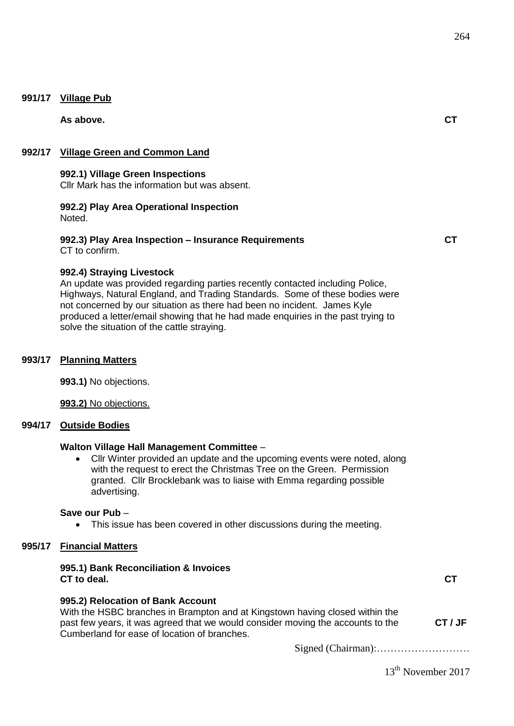## **991/17 Village Pub**

**As above. CT**

## **992/17 Village Green and Common Land**

**992.1) Village Green Inspections**

Cllr Mark has the information but was absent.

#### **992.2) Play Area Operational Inspection**  Noted.

# **992.3) Play Area Inspection – Insurance Requirements**

**CT**

CT to confirm.

## **992.4) Straying Livestock**

An update was provided regarding parties recently contacted including Police, Highways, Natural England, and Trading Standards. Some of these bodies were not concerned by our situation as there had been no incident. James Kyle produced a letter/email showing that he had made enquiries in the past trying to solve the situation of the cattle straying.

#### **993/17 Planning Matters**

**993.1)** No objections.

**993.2)** No objections.

## **994/17 Outside Bodies**

## **Walton Village Hall Management Committee** –

 Cllr Winter provided an update and the upcoming events were noted, along with the request to erect the Christmas Tree on the Green. Permission granted. Cllr Brocklebank was to liaise with Emma regarding possible advertising.

#### **Save our Pub** –

• This issue has been covered in other discussions during the meeting.

# **995/17 Financial Matters**

## **995.1) Bank Reconciliation & Invoices CT to deal.**

**CT**

# **995.2) Relocation of Bank Account**

With the HSBC branches in Brampton and at Kingstown having closed within the past few years, it was agreed that we would consider moving the accounts to the Cumberland for ease of location of branches. **CT / JF**

Signed (Chairman):………………………

13<sup>th</sup> November 2017